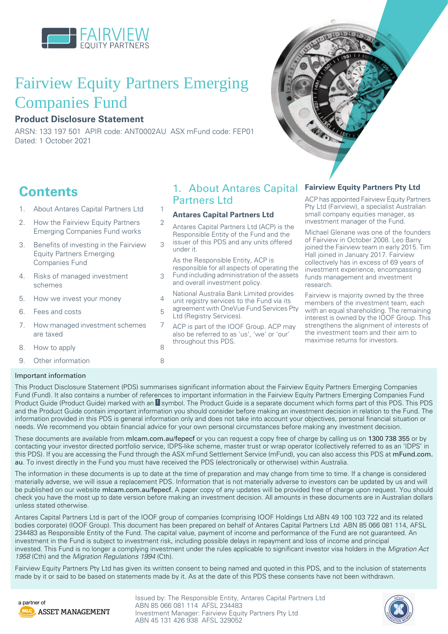

# Fairview Equity Partners Emerging Companies Fund

## **Product Disclosure Statement**

ARSN: 133 197 501 APIR code: ANT0002AU ASX mFund code: FEP01 Dated: 1 October 2021

## **Contents**

- 1. About Antares Capital [Partners](#page-0-0) Ltd [1](#page-0-0)
- 2. How the [Fairview](#page-1-0) Equity Partners [2](#page-1-0) Emerging [Companies](#page-1-0) Fund works
- 3. Benefits of [investing](#page-2-0) in the Fairview [3](#page-2-0) Equity Partners [Emerging](#page-2-0) [Companies](#page-2-0) Fund
- 4. Risks of managed [investment](#page-2-1) [3](#page-2-1) [schemes](#page-2-1)
- 5. How we invest your [money](#page-3-0) [4](#page-3-0)
- 6. Fees and [costs](#page-4-0) [5](#page-4-0)
- 7. How managed [investment](#page-6-0) schemes [7](#page-6-0) are [taxed](#page-6-0)
- 8. How to [apply](#page-7-0) [8](#page-7-0)
- 9. Other [information](#page-7-1) [8](#page-7-1)

## <span id="page-0-0"></span>1. About Antares Capital Partners Ltd

## **Antares Capital Partners Ltd**

- Antares Capital Partners Ltd (ACP) is the Responsible Entity of the Fund and the issuer of this PDS and any units offered
- under it.
- As the Responsible Entity, ACP is responsible for all aspects of operating the Fund including administration of the assets and overall investment policy.
- National Australia Bank Limited provides unit registry services to the Fund via its
- agreement with OneVue Fund Services Pty Ltd (Registry Services).
- ACP is part of the IOOF Group. ACP may also be referred to as 'us', 'we' or 'our' throughout this PDS.



## **Fairview Equity Partners Pty Ltd**

ACP has appointed Fairview Equity Partners Pty Ltd (Fairview), a specialist Australian small company equities manager, as investment manager of the Fund.

Michael Glenane was one of the founders of Fairview in October 2008. Leo Barry joined the Fairview team in early 2015. Tim Hall joined in January 2017. Fairview collectively has in excess of 69 years of investment experience, encompassing funds management and investment research.

Fairview is majority owned by the three members of the investment team, each with an equal shareholding. The remaining interest is owned by the IOOF Group. This strengthens the alignment of interests of the investment team and their aim to maximise returns for investors.

## Important information

This Product Disclosure Statement (PDS) summarises significant information about the Fairview Equity Partners Emerging Companies Fund (Fund). It also contains a number of references to important information in the Fairview Equity Partners Emerging Companies Fund Product Guide (Product Guide) marked with an **I** symbol. The Product Guide is a separate document which forms part of this PDS. This PDS and the Product Guide contain important information you should consider before making an investment decision in relation to the Fund. The information provided in this PDS is general information only and does not take into account your objectives, personal financial situation or needs. We recommend you obtain financial advice for your own personal circumstances before making any investment decision.

These documents are available from [mlcam.com.au/fepecf](https://www.mlcam.com.au/our-investment-managers/fairview-equity-partners/resources) or you can request a copy free of charge by calling us on 1300 738 355 or by contacting your investor directed portfolio service, IDPS-like scheme, master trust or wrap operator (collectively referred to as an 'IDPS' in this PDS). If you are accessing the Fund through the ASX mFund Settlement Service (mFund), you can also access this PDS at [mFund.com.](http://www.asx.com.au/mfund/) [au](http://www.asx.com.au/mfund/). To invest directly in the Fund you must have received the PDS (electronically or otherwise) within Australia.

The information in these documents is up to date at the time of preparation and may change from time to time. If a change is considered materially adverse, we will issue a replacement PDS. Information that is not materially adverse to investors can be updated by us and will be published on our website [mlcam.com.au/fepecf](https://www.mlcam.com.au/our-investment-managers/fairview-equity-partners/resources). A paper copy of any updates will be provided free of charge upon request. You should check you have the most up to date version before making an investment decision. All amounts in these documents are in Australian dollars unless stated otherwise.

Antares Capital Partners Ltd is part of the IOOF group of companies (comprising IOOF Holdings Ltd ABN 49 100 103 722 and its related bodies corporate) (IOOF Group). This document has been prepared on behalf of Antares Capital Partners Ltd ABN 85 066 081 114, AFSL 234483 as Responsible Entity of the Fund. The capital value, payment of income and performance of the Fund are not guaranteed. An investment in the Fund is subject to investment risk, including possible delays in repayment and loss of income and principal invested. This Fund is no longer a complying investment under the rules applicable to significant investor visa holders in the Migration Act 1958 (Cth) and the Migration Regulations 1994 (Cth).

Fairview Equity Partners Pty Ltd has given its written consent to being named and quoted in this PDS, and to the inclusion of statements made by it or said to be based on statements made by it. As at the date of this PDS these consents have not been withdrawn.



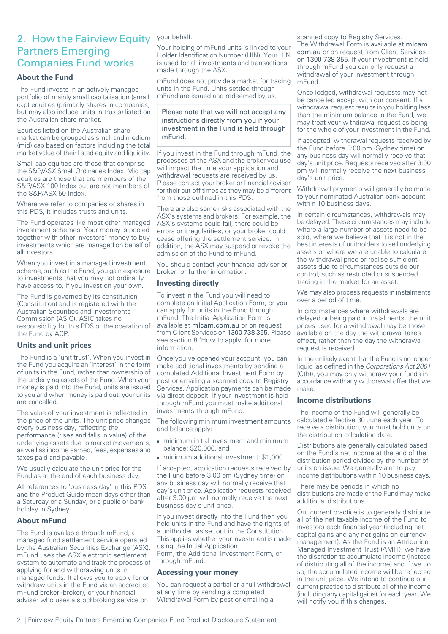## <span id="page-1-0"></span>2. How the Fairview Equity Partners Emerging Companies Fund works

## **About the Fund**

The Fund invests in an actively managed portfolio of mainly small capitalisation (small cap) equities (primarily shares in companies, but may also include units in trusts) listed on the Australian share market.

Equities listed on the Australian share market can be grouped as small and medium (mid) cap based on factors including the total market value of their listed equity and liquidity.

Small cap equities are those that comprise the S&P/ASX Small Ordinaries Index. Mid cap equities are those that are members of the S&P/ASX 100 Index but are not members of the S&P/ASX 50 Index.

Where we refer to companies or shares in this PDS, it includes trusts and units.

The Fund operates like most other managed investment schemes. Your money is pooled together with other investors' money to buy investments which are managed on behalf of all investors.

When you invest in a managed investment scheme, such as the Fund, you gain exposure to investments that you may not ordinarily have access to, if you invest on your own.

The Fund is governed by its constitution (Constitution) and is registered with the Australian Securities and Investments Commission (ASIC). ASIC takes no responsibility for this PDS or the operation of the Fund by ACP.

## **Units and unit prices**

The Fund is a 'unit trust'. When you invest in the Fund you acquire an 'interest' in the form of units in the Fund, rather than ownership of the underlying assets of the Fund. When your money is paid into the Fund, units are issued to you and when money is paid out, your units are cancelled.

The value of your investment is reflected in the price of the units. The unit price changes every business day, reflecting the performance (rises and falls in value) of the underlying assets due to market movements, as well as income earned, fees, expenses and taxes paid and payable.

We usually calculate the unit price for the Fund as at the end of each business day.

All references to 'business day' in this PDS and the Product Guide mean days other than a Saturday or a Sunday, or a public or bank holiday in Sydney.

## **About mFund**

The Fund is available through mFund, a managed fund settlement service operated by the Australian Securities Exchange (ASX). mFund uses the ASX electronic settlement system to automate and track the process of applying for and withdrawing units in managed funds. It allows you to apply for or withdraw units in the Fund via an accredited mFund broker (broker), or your financial adviser who uses a stockbroking service on

### your behalf.

Your holding of mFund units is linked to your Holder Identification Number (HIN). Your HIN is used for all investments and transactions made through the ASX.

mFund does not provide a market for trading units in the Fund. Units settled through mFund are issued and redeemed by us.

### Please note that we will not accept any instructions directly from you if your investment in the Fund is held through mFund.

If you invest in the Fund through mFund, the processes of the ASX and the broker you use will impact the time your application and withdrawal requests are received by us. Please contact your broker or financial adviser for their cut-off times as they may be different from those outlined in this PDS.

There are also some risks associated with the ASX's systems and brokers. For example, the ASX's systems could fail, there could be errors or irregularities, or your broker could cease offering the settlement service. In addition, the ASX may suspend or revoke the admission of the Fund to mFund.

You should contact your financial adviser or broker for further information.

## **Investing directly**

To invest in the Fund you will need to complete an Initial Application Form, or you can apply for units in the Fund through mFund. The Initial Application Form is available at [mlcam.com.au](http://mlcam.com.au) or on request from Client Services on 1300 738 355. Please see section 8 'How to apply' for more information.

Once you've opened your account, you can make additional investments by sending a completed Additional Investment Form by post or emailing a scanned copy to Registry Services. Application payments can be made via direct deposit. If your investment is held through mFund you must make additional investments through mFund.

The following minimum investment amounts and balance apply:

- minimum initial investment and minimum balance: \$20,000, and
- minimum additional investment: \$1,000.

If accepted, application requests received by the Fund before 3:00 pm (Sydney time) on any business day will normally receive that day's unit price. Application requests received after 3:00 pm will normally receive the next business day's unit price.

If you invest directly into the Fund then you hold units in the Fund and have the rights of a unitholder, as set out in the Constitution. This applies whether your investment is made using the Initial Application Form, the Additional Investment Form, or through mFund.

## **Accessing your money**

You can request a partial or a full withdrawal at any time by sending a completed Withdrawal Form by post or emailing a

scanned copy to Registry Services. The Withdrawal Form is available at micam. [com.au](http://mlcam.com.au) or on request from Client Services on 1300 738 355. If your investment is held through mFund you can only request a withdrawal of your investment through mFund.

Once lodged, withdrawal requests may not be cancelled except with our consent. If a withdrawal request results in you holding less than the minimum balance in the Fund, we may treat your withdrawal request as being for the whole of your investment in the Fund.

If accepted, withdrawal requests received by the Fund before 3:00 pm (Sydney time) on any business day will normally receive that day's unit price. Requests received after 3:00 pm will normally receive the next business day's unit price.

Withdrawal payments will generally be made to your nominated Australian bank account within 10 business days.

In certain circumstances, withdrawals may be delayed. These circumstances may include where a large number of assets need to be sold, where we believe that it is not in the best interests of unitholders to sell underlying assets or where we are unable to calculate the withdrawal price or realise sufficient assets due to circumstances outside our control, such as restricted or suspended trading in the market for an asset.

We may also process requests in instalments over a period of time.

In circumstances where withdrawals are delayed or being paid in instalments, the unit prices used for a withdrawal may be those available on the day the withdrawal takes effect, rather than the day the withdrawal request is received.

In the unlikely event that the Fund is no longer liquid (as defined in the Corporations Act 2001 (Cth)), you may only withdraw your funds in accordance with any withdrawal offer that we make.

#### **Income distributions**

The income of the Fund will generally be calculated effective 30 June each year. To receive a distribution, you must hold units on the distribution calculation date.

Distributions are generally calculated based on the Fund's net income at the end of the distribution period divided by the number of units on issue. We generally aim to pay income distributions within 10 business days.

There may be periods in which no distributions are made or the Fund may make additional distributions.

Our current practice is to generally distribute all of the net taxable income of the Fund to investors each financial year (including net capital gains and any net gains on currency management). As the Fund is an Attribution Managed Investment Trust (AMIT), we have the discretion to accumulate income (instead of distributing all of the income) and if we do so, the accumulated income will be reflected in the unit price. We intend to continue our current practice to distribute all of the income (including any capital gains) for each year. We will notify you if this changes.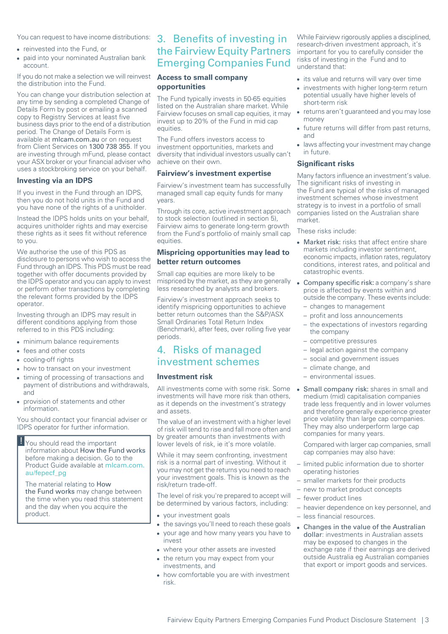You can request to have income distributions:

- reinvested into the Fund, or
- paid into your nominated Australian bank account.

If you do not make a selection we will reinvest the distribution into the Fund.

You can change your distribution selection at any time by sending a completed Change of Details Form by post or emailing a scanned copy to Registry Services at least five business days prior to the end of a distribution period. The Change of Details Form is available at [mlcam.com.au](http://mlcam.com.au) or on request from Client Services on 1300 738 355. If you are investing through mFund, please contact your ASX broker or your financial adviser who uses a stockbroking service on your behalf.

#### **Investing via an IDPS**

If you invest in the Fund through an IDPS, then you do not hold units in the Fund and you have none of the rights of a unitholder.

Instead the IDPS holds units on your behalf, acquires unitholder rights and may exercise these rights as it sees fit without reference to you.

We authorise the use of this PDS as disclosure to persons who wish to access the Fund through an IDPS. This PDS must be read together with offer documents provided by the IDPS operator and you can apply to invest or perform other transactions by completing the relevant forms provided by the IDPS operator.

Investing through an IDPS may result in different conditions applying from those referred to in this PDS including:

- minimum balance requirements
- fees and other costs
- cooling-off rights
- how to transact on your investment
- timing of processing of transactions and payment of distributions and withdrawals, and
- provision of statements and other information.

You should contact your financial adviser or IDPS operator for further information.

You should read the important information about How the Fund works before making a decision. Go to the Product Guide available at [mlcam.com.](https://www.mlcam.com.au/content/dam/mlcam/pdf/fairview/fepecf_pg.pdf) [au/fepecf\\_pg](https://www.mlcam.com.au/content/dam/mlcam/pdf/fairview/fepecf_pg.pdf)

The material relating to How the Fund works may change between the time when you read this statement and the day when you acquire the product.

## <span id="page-2-0"></span>3. Benefits of investing in the Fairview Equity Partners Emerging Companies Fund

### **Access to small company opportunities**

The Fund typically invests in 50-65 equities listed on the Australian share market. While Fairview focuses on small cap equities, it may invest up to 20% of the Fund in mid cap equities.

The Fund offers investors access to investment opportunities, markets and diversity that individual investors usually can't achieve on their own.

#### **Fairview's investment expertise**

Fairview's investment team has successfully managed small cap equity funds for many years.

Through its core, active investment approach to stock selection (outlined in section 5), Fairview aims to generate long-term growth from the Fund's portfolio of mainly small cap equities.

### **Mispricing opportunities may lead to better return outcomes**

Small cap equities are more likely to be mispriced by the market, as they are generally less researched by analysts and brokers.

<span id="page-2-1"></span>Fairview's investment approach seeks to identify mispricing opportunities to achieve better return outcomes than the S&P/ASX Small Ordinaries Total Return Index (Benchmark), after fees, over rolling five year periods.

## 4. Risks of managed investment schemes

### **Investment risk**

All investments come with some risk. Some investments will have more risk than others, as it depends on the investment's strategy and assets.

The value of an investment with a higher level of risk will tend to rise and fall more often and by greater amounts than investments with lower levels of risk, ie it's more volatile.

While it may seem confronting, investment risk is a normal part of investing. Without it you may not get the returns you need to reach your investment goals. This is known as the risk/return trade-off.

The level of risk you're prepared to accept will be determined by various factors, including:

- your investment goals
- the savings you'll need to reach these goals • your age and how many years you have to invest
	- where your other assets are invested
	- the return you may expect from your investments, and
	- how comfortable you are with investment risk.

While Fairview rigorously applies a disciplined, research-driven investment approach, it's important for you to carefully consider the risks of investing in the Fund and to understand that:

- its value and returns will vary over time
- investments with higher long-term return potential usually have higher levels of short-term risk
- returns aren't guaranteed and you may lose money
- future returns will differ from past returns, and
- laws affecting your investment may change in future.

## **Significant risks**

Many factors influence an investment's value. The significant risks of investing in the Fund are typical of the risks of managed investment schemes whose investment strategy is to invest in a portfolio of small companies listed on the Australian share market.

These risks include:

- Market risk: risks that affect entire share markets including investor sentiment, economic impacts, inflation rates, regulatory conditions, interest rates, and political and catastrophic events.
- Company specific risk: a company's share price is affected by events within and outside the company. These events include:
	- changes to management
- profit and loss announcements
- the expectations of investors regarding the company
- competitive pressures
- legal action against the company
- social and government issues
- climate change, and
- environmental issues.
- $\bullet$ Small company risk: shares in small and medium (mid) capitalisation companies trade less frequently and in lower volumes and therefore generally experience greater price volatility than large cap companies. They may also underperform large cap companies for many years.

Compared with larger cap companies, small cap companies may also have:

- limited public information due to shorter operating histories
- smaller markets for their products
- new to market product concepts
- fewer product lines
- heavier dependence on key personnel, and – less financial resources.
- Changes in the value of the Australian dollar: investments in Australian assets may be exposed to changes in the exchange rate if their earnings are derived outside Australia eg Australian companies that export or import goods and services.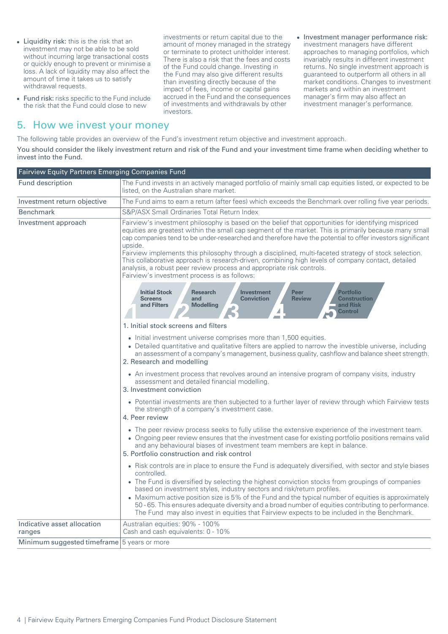- Liquidity risk: this is the risk that an investment may not be able to be sold without incurring large transactional costs or quickly enough to prevent or minimise a loss. A lack of liquidity may also affect the amount of time it takes us to satisfy withdrawal requests.
- Fund risk: risks specific to the Fund include the risk that the Fund could close to new

## <span id="page-3-0"></span>5. How we invest your money

investments or return capital due to the amount of money managed in the strategy or terminate to protect unitholder interest. There is also a risk that the fees and costs of the Fund could change. Investing in the Fund may also give different results than investing directly because of the impact of fees, income or capital gains accrued in the Fund and the consequences of investments and withdrawals by other investors.

• Investment manager performance risk: investment managers have different approaches to managing portfolios, which invariably results in different investment returns. No single investment approach is guaranteed to outperform all others in all market conditions. Changes to investment markets and within an investment manager's firm may also affect an investment manager's performance.

The following table provides an overview of the Fund's investment return objective and investment approach.

You should consider the likely investment return and risk of the Fund and your investment time frame when deciding whether to invest into the Fund.

| Fairview Equity Partners Emerging Companies Fund |                                                                                                                                                                                                                                                                                                                                                                                                                                                                                                                                                                                                                                                                                |  |  |  |
|--------------------------------------------------|--------------------------------------------------------------------------------------------------------------------------------------------------------------------------------------------------------------------------------------------------------------------------------------------------------------------------------------------------------------------------------------------------------------------------------------------------------------------------------------------------------------------------------------------------------------------------------------------------------------------------------------------------------------------------------|--|--|--|
| Fund description                                 | The Fund invests in an actively managed portfolio of mainly small cap equities listed, or expected to be<br>listed, on the Australian share market.                                                                                                                                                                                                                                                                                                                                                                                                                                                                                                                            |  |  |  |
| Investment return objective                      | The Fund aims to earn a return (after fees) which exceeds the Benchmark over rolling five year periods.                                                                                                                                                                                                                                                                                                                                                                                                                                                                                                                                                                        |  |  |  |
| <b>Benchmark</b>                                 | S&P/ASX Small Ordinaries Total Return Index                                                                                                                                                                                                                                                                                                                                                                                                                                                                                                                                                                                                                                    |  |  |  |
| Investment approach                              | Fairview's investment philosophy is based on the belief that opportunities for identifying mispriced<br>equities are greatest within the small cap segment of the market. This is primarily because many small<br>cap companies tend to be under-researched and therefore have the potential to offer investors significant<br>upside.<br>Fairview implements this philosophy through a disciplined, multi-faceted strategy of stock selection.<br>This collaborative approach is research-driven, combining high levels of company contact, detailed<br>analysis, a robust peer review process and appropriate risk controls.<br>Fairview's investment process is as follows: |  |  |  |
|                                                  | <b>Initial Stock</b><br><b>Peer</b><br><b>Portfolio</b><br><b>Research</b><br><b>Investment</b><br><b>Conviction</b><br><b>Review</b><br><b>Construction</b><br><b>Screens</b><br>and<br><b>Modelling</b><br>and Filters<br>and Risk<br><b>Control</b>                                                                                                                                                                                                                                                                                                                                                                                                                         |  |  |  |
|                                                  | 1. Initial stock screens and filters                                                                                                                                                                                                                                                                                                                                                                                                                                                                                                                                                                                                                                           |  |  |  |
|                                                  | • Initial investment universe comprises more than 1,500 equities.<br>• Detailed quantitative and qualitative filters are applied to narrow the investible universe, including<br>an assessment of a company's management, business quality, cashflow and balance sheet strength.<br>2. Research and modelling                                                                                                                                                                                                                                                                                                                                                                  |  |  |  |
|                                                  | • An investment process that revolves around an intensive program of company visits, industry<br>assessment and detailed financial modelling.<br>3. Investment conviction                                                                                                                                                                                                                                                                                                                                                                                                                                                                                                      |  |  |  |
|                                                  | • Potential investments are then subjected to a further layer of review through which Fairview tests<br>the strength of a company's investment case.<br>4. Peer review                                                                                                                                                                                                                                                                                                                                                                                                                                                                                                         |  |  |  |
|                                                  | • The peer review process seeks to fully utilise the extensive experience of the investment team.<br>• Ongoing peer review ensures that the investment case for existing portfolio positions remains valid<br>and any behavioural biases of investment team members are kept in balance.<br>5. Portfolio construction and risk control                                                                                                                                                                                                                                                                                                                                         |  |  |  |
|                                                  | • Risk controls are in place to ensure the Fund is adequately diversified, with sector and style biases<br>controlled.                                                                                                                                                                                                                                                                                                                                                                                                                                                                                                                                                         |  |  |  |
|                                                  | • The Fund is diversified by selecting the highest conviction stocks from groupings of companies<br>based on investment styles, industry sectors and risk/return profiles.<br>• Maximum active position size is 5% of the Fund and the typical number of equities is approximately<br>50 - 65. This ensures adequate diversity and a broad number of equities contributing to performance.<br>The Fund may also invest in equities that Fairview expects to be included in the Benchmark.                                                                                                                                                                                      |  |  |  |
| Indicative asset allocation<br>ranges            | Australian equities: 90% - 100%<br>Cash and cash equivalents: 0 - 10%                                                                                                                                                                                                                                                                                                                                                                                                                                                                                                                                                                                                          |  |  |  |
| Minimum suggested timeframe 5 years or more      |                                                                                                                                                                                                                                                                                                                                                                                                                                                                                                                                                                                                                                                                                |  |  |  |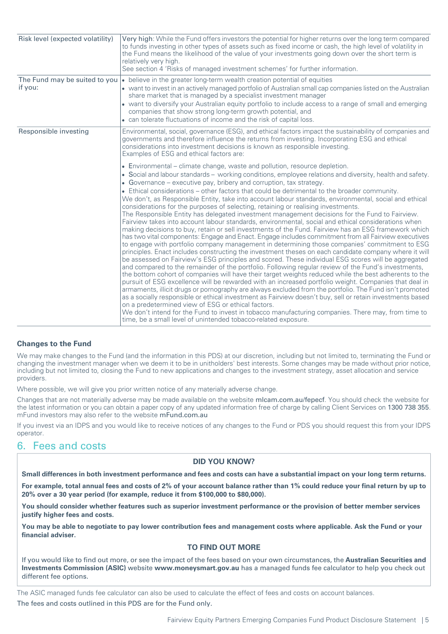| Risk level (expected volatility)         | Very high: While the Fund offers investors the potential for higher returns over the long term compared<br>to funds investing in other types of assets such as fixed income or cash, the high level of volatility in<br>the Fund means the likelihood of the value of your investments going down over the short term is<br>relatively very high.<br>See section 4 'Risks of managed investment schemes' for further information.                                                                                                                                                                                                                                                                                                                                                                                                                                                                                                                                                                                                                                                                                                                                                                                                                                                                                                                                                                                                                                                                                                                                                                                                                                                                                                                                                                                                                                                                                                                                                                                                                                                    |  |  |
|------------------------------------------|--------------------------------------------------------------------------------------------------------------------------------------------------------------------------------------------------------------------------------------------------------------------------------------------------------------------------------------------------------------------------------------------------------------------------------------------------------------------------------------------------------------------------------------------------------------------------------------------------------------------------------------------------------------------------------------------------------------------------------------------------------------------------------------------------------------------------------------------------------------------------------------------------------------------------------------------------------------------------------------------------------------------------------------------------------------------------------------------------------------------------------------------------------------------------------------------------------------------------------------------------------------------------------------------------------------------------------------------------------------------------------------------------------------------------------------------------------------------------------------------------------------------------------------------------------------------------------------------------------------------------------------------------------------------------------------------------------------------------------------------------------------------------------------------------------------------------------------------------------------------------------------------------------------------------------------------------------------------------------------------------------------------------------------------------------------------------------------|--|--|
| The Fund may be suited to you<br>if you: | $\bullet$ believe in the greater long-term wealth creation potential of equities<br>• want to invest in an actively managed portfolio of Australian small cap companies listed on the Australian<br>share market that is managed by a specialist investment manager<br>• want to diversify your Australian equity portfolio to include access to a range of small and emerging<br>companies that show strong long-term growth potential, and<br>• can tolerate fluctuations of income and the risk of capital loss.                                                                                                                                                                                                                                                                                                                                                                                                                                                                                                                                                                                                                                                                                                                                                                                                                                                                                                                                                                                                                                                                                                                                                                                                                                                                                                                                                                                                                                                                                                                                                                  |  |  |
| Responsible investing                    | Environmental, social, governance (ESG), and ethical factors impact the sustainability of companies and<br>governments and therefore influence the returns from investing. Incorporating ESG and ethical<br>considerations into investment decisions is known as responsible investing.<br>Examples of ESG and ethical factors are:                                                                                                                                                                                                                                                                                                                                                                                                                                                                                                                                                                                                                                                                                                                                                                                                                                                                                                                                                                                                                                                                                                                                                                                                                                                                                                                                                                                                                                                                                                                                                                                                                                                                                                                                                  |  |  |
|                                          | • Environmental – climate change, waste and pollution, resource depletion.<br>• Social and labour standards – working conditions, employee relations and diversity, health and safety.<br>• Governance – executive pay, bribery and corruption, tax strategy.<br>• Ethical considerations – other factors that could be detrimental to the broader community.<br>We don't, as Responsible Entity, take into account labour standards, environmental, social and ethical<br>considerations for the purposes of selecting, retaining or realising investments.<br>The Responsible Entity has delegated investment management decisions for the Fund to Fairview.<br>Fairview takes into account labour standards, environmental, social and ethical considerations when<br>making decisions to buy, retain or sell investments of the Fund. Fairview has an ESG framework which<br>has two vital components: Engage and Enact. Engage includes commitment from all Fairview executives<br>to engage with portfolio company management in determining those companies' commitment to ESG<br>principles. Enact includes constructing the investment theses on each candidate company where it will<br>be assessed on Fairview's ESG principles and scored. These individual ESG scores will be aggregated<br>and compared to the remainder of the portfolio. Following regular review of the Fund's investments,<br>the bottom cohort of companies will have their target weights reduced while the best adherents to the<br>pursuit of ESG excellence will be rewarded with an increased portfolio weight. Companies that deal in<br>armaments, illicit drugs or pornography are always excluded from the portfolio. The Fund isn't promoted<br>as a socially responsible or ethical investment as Fairview doesn't buy, sell or retain investments based<br>on a predetermined view of ESG or ethical factors.<br>We don't intend for the Fund to invest in tobacco manufacturing companies. There may, from time to<br>time, be a small level of unintended tobacco-related exposure. |  |  |

## **Changes to the Fund**

We may make changes to the Fund (and the information in this PDS) at our discretion, including but not limited to, terminating the Fund or changing the investment manager when we deem it to be in unitholders' best interests. Some changes may be made without prior notice, including but not limited to, closing the Fund to new applications and changes to the investment strategy, asset allocation and service providers.

Where possible, we will give you prior written notice of any materially adverse change.

<span id="page-4-0"></span>Changes that are not materially adverse may be made available on the website [mlcam.com.au/fepecf](https://www.mlcam.com.au/our-investment-managers/fairview-equity-partners/resources). You should check the website for the latest information or you can obtain a paper copy of any updated information free of charge by calling Client Services on 1300 738 355. mFund investors may also refer to the website [mFund.com.au](http://www.asx.com.au/mfund/)

If you invest via an IDPS and you would like to receive notices of any changes to the Fund or PDS you should request this from your IDPS operator.

## 6. Fees and costs

## **DID YOU KNOW?**

Small differences in both investment performance and fees and costs can have a substantial impact on your long term returns.

For example, total annual fees and costs of 2% of your account balance rather than 1% could reduce your final return by up to **20% over a 30 year period (for example, reduce it from \$100,000 to \$80,000).**

You should consider whether features such as superior investment performance or the provision of better member services **justify higher fees and costs.**

You may be able to negotiate to pay lower contribution fees and management costs where applicable. Ask the Fund or your **financial adviser.**

## **TO FIND OUT MORE**

If you would like to find out more, or see the impact of the fees based on your own circumstances, the **Australian Securities and Investments Commission (ASIC)** website **www.moneysmart.gov.au** has a managed funds fee calculator to help you check out different fee options.

The ASIC managed funds fee calculator can also be used to calculate the effect of fees and costs on account balances. The fees and costs outlined in this PDS are for the Fund only.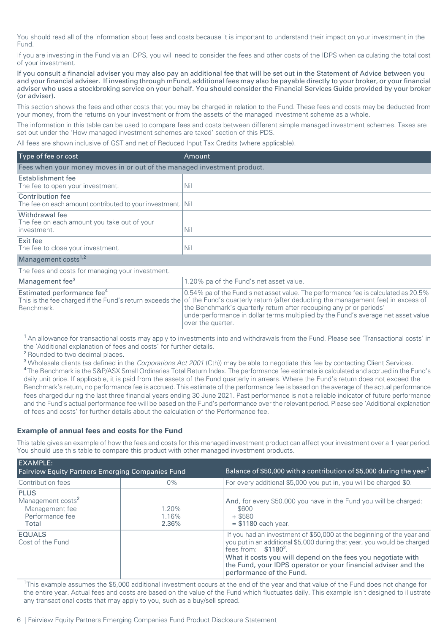You should read all of the information about fees and costs because it is important to understand their impact on your investment in the Fund.

If you are investing in the Fund via an IDPS, you will need to consider the fees and other costs of the IDPS when calculating the total cost of your investment.

If you consult a financial adviser you may also pay an additional fee that will be set out in the Statement of Advice between you and your financial adviser. If investing through mFund, additional fees may also be payable directly to your broker, or your financial adviser who uses a stockbroking service on your behalf. You should consider the Financial Services Guide provided by your broker (or adviser).

This section shows the fees and other costs that you may be charged in relation to the Fund. These fees and costs may be deducted from your money, from the returns on your investment or from the assets of the managed investment scheme as a whole.

The information in this table can be used to compare fees and costs between different simple managed investment schemes. Taxes are set out under the 'How managed investment schemes are taxed' section of this PDS.

All fees are shown inclusive of GST and net of Reduced Input Tax Credits (where applicable).

| Type of fee or cost                                                            | Amount |  |  |  |
|--------------------------------------------------------------------------------|--------|--|--|--|
| Fees when your money moves in or out of the managed investment product.        |        |  |  |  |
| Establishment fee<br>The fee to open your investment.                          | Nil    |  |  |  |
| Contribution fee<br>The fee on each amount contributed to your investment. Nil |        |  |  |  |
| Withdrawal fee<br>The fee on each amount you take out of your<br>investment.   | Nil    |  |  |  |
| Exit fee<br>The fee to close your investment.                                  | Nil    |  |  |  |
| Management costs <sup>1,2</sup>                                                |        |  |  |  |

| The fees and costs for managing your investment. |                                                                                                                                           |  |  |  |
|--------------------------------------------------|-------------------------------------------------------------------------------------------------------------------------------------------|--|--|--|
| Management fee <sup>3</sup>                      | 1.20% pa of the Fund's net asset value.                                                                                                   |  |  |  |
| Estimated performance fee <sup>4</sup>           | 0.54% pa of the Fund's net asset value. The performance fee is calculated as 20.5%                                                        |  |  |  |
|                                                  | This is the fee charged if the Fund's return exceeds the of the Fund's quarterly return (after deducting the management fee) in excess of |  |  |  |
| Benchmark.                                       | the Benchmark's quarterly return after recouping any prior periods'                                                                       |  |  |  |
|                                                  | underperformance in dollar terms multiplied by the Fund's average net asset value                                                         |  |  |  |
|                                                  | lover the quarter.                                                                                                                        |  |  |  |

<sup>1</sup> An allowance for transactional costs may apply to investments into and withdrawals from the Fund. Please see 'Transactional costs' in the 'Additional explanation of fees and costs' for further details.

<sup>2</sup> Rounded to two decimal places.

<sup>3</sup> Wholesale clients (as defined in the Corporations Act 2001 (Cth)) may be able to negotiate this fee by contacting Client Services. <sup>4</sup> The Benchmark is the S&P/ASX Small Ordinaries Total Return Index. The performance fee estimate is calculated and accrued in the Fund's daily unit price. If applicable, it is paid from the assets of the Fund quarterly in arrears. Where the Fund's return does not exceed the Benchmark's return, no performance fee is accrued. This estimate of the performance fee is based on the average of the actual performance fees charged during the last three financial years ending 30 June 2021. Past performance is not a reliable indicator of future performance and the Fund's actual performance fee will be based on the Fund's performance over the relevant period. Please see 'Additional explanation of fees and costs' for further details about the calculation of the Performance fee.

## **Example of annual fees and costs for the Fund**

This table gives an example of how the fees and costs for this managed investment product can affect your investment over a 1 year period. You should use this table to compare this product with other managed investment products.

| <b>EXAMPLE:</b><br><b>Fairview Equity Partners Emerging Companies Fund</b>                 |                         | Balance of \$50,000 with a contribution of \$5,000 during the year <sup>1</sup>                                                                                                                                                                                                                                                         |  |
|--------------------------------------------------------------------------------------------|-------------------------|-----------------------------------------------------------------------------------------------------------------------------------------------------------------------------------------------------------------------------------------------------------------------------------------------------------------------------------------|--|
| Contribution fees                                                                          | $0\%$                   | For every additional \$5,000 you put in, you will be charged \$0.                                                                                                                                                                                                                                                                       |  |
| <b>PLUS</b><br>Management costs <sup>2</sup><br>Management fee<br>Performance fee<br>Total | 1.20%<br>1.16%<br>2.36% | And, for every \$50,000 you have in the Fund you will be charged:<br>\$600<br>$+$ \$580<br>$= $1180$ each year.                                                                                                                                                                                                                         |  |
| <b>EQUALS</b><br>Cost of the Fund                                                          |                         | If you had an investment of \$50,000 at the beginning of the year and<br>you put in an additional \$5,000 during that year, you would be charged<br>fees from: $$11802$ .<br>What it costs you will depend on the fees you negotiate with<br>the Fund, your IDPS operator or your financial adviser and the<br>performance of the Fund. |  |

<sup>1</sup>This example assumes the \$5,000 additional investment occurs at the end of the year and that value of the Fund does not change for the entire year. Actual fees and costs are based on the value of the Fund which fluctuates daily. This example isn't designed to illustrate any transactional costs that may apply to you, such as a buy/sell spread.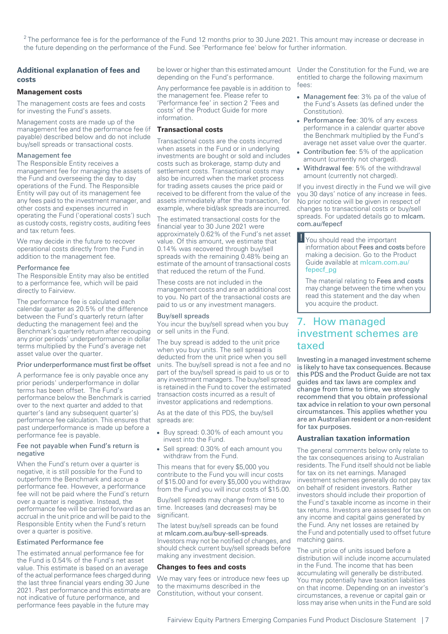$2$  The performance fee is for the performance of the Fund 12 months prior to 30 June 2021. This amount may increase or decrease in the future depending on the performance of the Fund. See 'Performance fee' below for further information.

## **Additional explanation of fees and costs**

#### **Management costs**

The management costs are fees and costs for investing the Fund's assets.

Management costs are made up of the management fee and the performance fee (if payable) described below and do not include buy/sell spreads or transactional costs.

#### Management fee

The Responsible Entity receives a management fee for managing the assets of the Fund and overseeing the day to day operations of the Fund. The Responsible Entity will pay out of its management fee any fees paid to the investment manager, and other costs and expenses incurred in operating the Fund ('operational costs') such as custody costs, registry costs, auditing fees and tax return fees.

We may decide in the future to recover operational costs directly from the Fund in addition to the management fee.

#### Performance fee

The Responsible Entity may also be entitled to a performance fee, which will be paid directly to Fairview.

The performance fee is calculated each calendar quarter as 20.5% of the difference between the Fund's quarterly return (after deducting the management fee) and the Benchmark's quarterly return after recouping any prior periods' underperformance in dollar terms multiplied by the Fund's average net asset value over the quarter.

#### Prior underperformance must first be offset

A performance fee is only payable once any prior periods' underperformance in dollar terms has been offset. The Fund's performance below the Benchmark is carried over to the next quarter and added to that quarter's (and any subsequent quarter's) performance fee calculation. This ensures that past underperformance is made up before a performance fee is payable.

#### Fee not payable when Fund's return is negative

When the Fund's return over a quarter is negative, it is still possible for the Fund to outperform the Benchmark and accrue a performance fee. However, a performance fee will not be paid where the Fund's return over a quarter is negative. Instead, the performance fee will be carried forward as an accrual in the unit price and will be paid to the Responsible Entity when the Fund's return over a quarter is positive.

## Estimated Performance fee

The estimated annual performance fee for the Fund is 0.54% of the Fund's net asset value. This estimate is based on an average of the actual performance fees charged during the last three financial years ending 30 June 2021. Past performance and this estimate are not indicative of future performance, and performance fees payable in the future may

be lower or higher than this estimated amount Under the Constitution for the Fund, we are depending on the Fund's performance.

Any performance fee payable is in addition to the management fee. Please refer to 'Performance fee' in section 2 'Fees and costs' of the Product Guide for more information.

### **Transactional costs**

Transactional costs are the costs incurred when assets in the Fund or in underlying investments are bought or sold and includes costs such as brokerage, stamp duty and settlement costs. Transactional costs may also be incurred when the market process for trading assets causes the price paid or received to be different from the value of the assets immediately after the transaction, for example, where bid/ask spreads are incurred.

The estimated transactional costs for the financial year to 30 June 2021 were approximately 0.62% of the Fund's net asset value. Of this amount, we estimate that 0.14% was recovered through buy/sell spreads with the remaining 0.48% being an estimate of the amount of transactional costs that reduced the return of the Fund.

These costs are not included in the management costs and are an additional cost to you. No part of the transactional costs are paid to us or any investment managers.

#### Buy/sell spreads

You incur the buy/sell spread when you buy or sell units in the Fund.

The buy spread is added to the unit price when you buy units. The sell spread is deducted from the unit price when you sell units. The buy/sell spread is not a fee and no part of the buy/sell spread is paid to us or to any investment managers. The buy/sell spread is retained in the Fund to cover the estimated transaction costs incurred as a result of investor applications and redemptions.

As at the date of this PDS, the buy/sell spreads are:

- Buy spread: 0.30% of each amount you invest into the Fund.
- Sell spread: 0.30% of each amount you withdraw from the Fund.

This means that for every \$5,000 you contribute to the Fund you will incur costs of \$15.00 and for every \$5,000 you withdraw from the Fund you will incur costs of \$15.00.

Buy/sell spreads may change from time to time. Increases (and decreases) may be significant.

The latest buy/sell spreads can be found at [mlcam.com.au/buy-sell-spreads](https://www.mlcam.com.au/investing-with-us/buy-sell-spreads). Investors may not be notified of changes, and should check current buy/sell spreads before making any investment decision.

#### **Changes to fees and costs**

We may vary fees or introduce new fees up to the maximums described in the Constitution, without your consent.

entitled to charge the following maximum fees:

- Management fee: 3% pa of the value of the Fund's Assets (as defined under the Constitution).
- Performance fee: 30% of any excess performance in a calendar quarter above the Benchmark multiplied by the Fund's average net asset value over the quarter.
- Contribution fee: 5% of the application amount (currently not charged).
- Withdrawal fee: 5% of the withdrawal amount (currently not charged).

If you invest directly in the Fund we will give you 30 days' notice of any increase in fees. No prior notice will be given in respect of changes to transactional costs or buy/sell spreads. For updated details go to [mlcam.](https://www.mlcam.com.au/our-investment-managers/fairview-equity-partners/resources) [com.au/fepecf](https://www.mlcam.com.au/our-investment-managers/fairview-equity-partners/resources)

**!** You should read the important information about Fees and costs before making a decision. Go to the Product Guide available at [mlcam.com.au/](https://www.mlcam.com.au/content/dam/mlcam/pdf/fairview/fepecf_pg.pdf) [fepecf\\_pg](https://www.mlcam.com.au/content/dam/mlcam/pdf/fairview/fepecf_pg.pdf)

<span id="page-6-0"></span>The material relating to Fees and costs may change between the time when you read this statement and the day when you acquire the product.

## 7. How managed investment schemes are taxed

Investing in a managed investment scheme is likely to have tax consequences. Because this PDS and the Product Guide are not tax guides and tax laws are complex and change from time to time, we strongly recommend that you obtain professional tax advice in relation to your own personal circumstances. This applies whether you are an Australian resident or a non-resident for tax purposes.

#### **Australian taxation information**

The general comments below only relate to the tax consequences arising to Australian residents. The Fund itself should not be liable for tax on its net earnings. Managed investment schemes generally do not pay tax on behalf of resident investors. Rather investors should include their proportion of the Fund's taxable income as income in their tax returns. Investors are assessed for tax on any income and capital gains generated by the Fund. Any net losses are retained by the Fund and potentially used to offset future matching gains.

The unit price of units issued before a distribution will include income accumulated in the Fund. The income that has been accumulating will generally be distributed. You may potentially have taxation liabilities on that income. Depending on an investor's circumstances, a revenue or capital gain or loss may arise when units in the Fund are sold